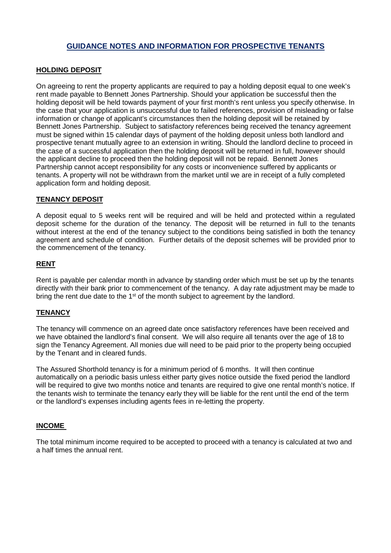# **GUIDANCE NOTES AND INFORMATION FOR PROSPECTIVE TENANTS**

### **HOLDING DEPOSIT**

On agreeing to rent the property applicants are required to pay a holding deposit equal to one week's rent made payable to Bennett Jones Partnership. Should your application be successful then the holding deposit will be held towards payment of your first month's rent unless you specify otherwise. In the case that your application is unsuccessful due to failed references, provision of misleading or false information or change of applicant's circumstances then the holding deposit will be retained by Bennett Jones Partnership. Subject to satisfactory references being received the tenancy agreement must be signed within 15 calendar days of payment of the holding deposit unless both landlord and prospective tenant mutually agree to an extension in writing. Should the landlord decline to proceed in the case of a successful application then the holding deposit will be returned in full, however should the applicant decline to proceed then the holding deposit will not be repaid. Bennett Jones Partnership cannot accept responsibility for any costs or inconvenience suffered by applicants or tenants. A property will not be withdrawn from the market until we are in receipt of a fully completed application form and holding deposit.

### **TENANCY DEPOSIT**

A deposit equal to 5 weeks rent will be required and will be held and protected within a regulated deposit scheme for the duration of the tenancy. The deposit will be returned in full to the tenants without interest at the end of the tenancy subject to the conditions being satisfied in both the tenancy agreement and schedule of condition. Further details of the deposit schemes will be provided prior to the commencement of the tenancy.

### **RENT**

Rent is payable per calendar month in advance by standing order which must be set up by the tenants directly with their bank prior to commencement of the tenancy. A day rate adjustment may be made to bring the rent due date to the 1<sup>st</sup> of the month subject to agreement by the landlord.

## **TENANCY**

The tenancy will commence on an agreed date once satisfactory references have been received and we have obtained the landlord's final consent. We will also require all tenants over the age of 18 to sign the Tenancy Agreement. All monies due will need to be paid prior to the property being occupied by the Tenant and in cleared funds.

The Assured Shorthold tenancy is for a minimum period of 6 months. It will then continue automatically on a periodic basis unless either party gives notice outside the fixed period the landlord will be required to give two months notice and tenants are required to give one rental month's notice. If the tenants wish to terminate the tenancy early they will be liable for the rent until the end of the term or the landlord's expenses including agents fees in re-letting the property.

#### **INCOME**

The total minimum income required to be accepted to proceed with a tenancy is calculated at two and a half times the annual rent.